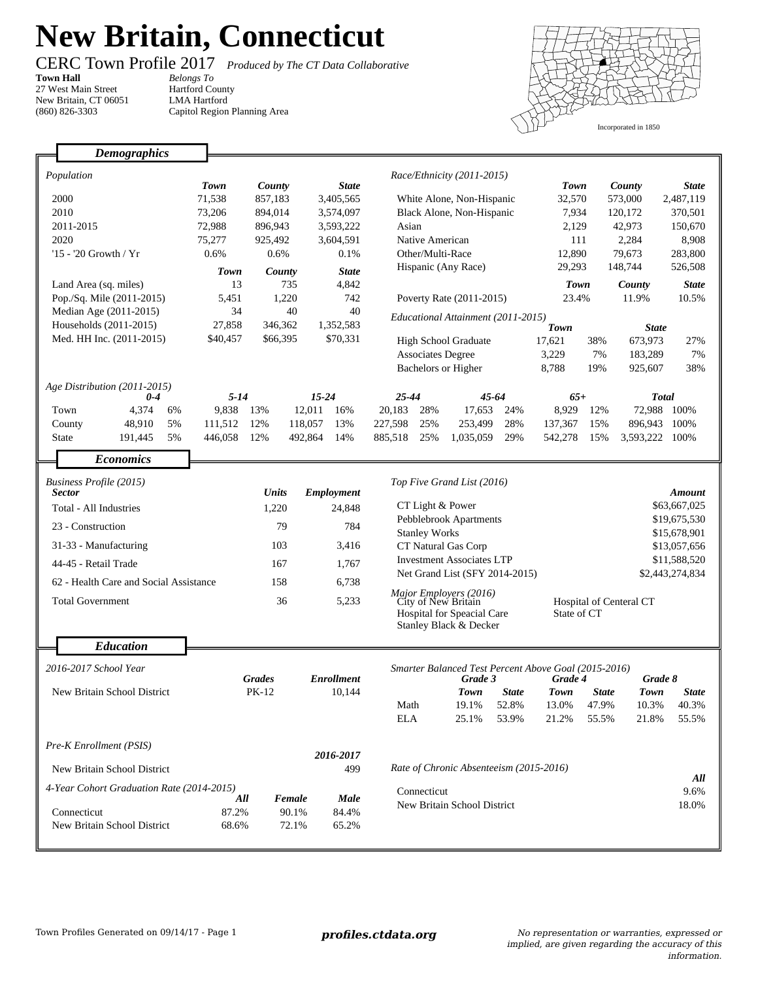## **New Britain, Connecticut**

٦

**Town Hall** 27 West Main Street New Britain, CT 06051 (860) 826-3303

CERC Town Profile 2017 *Produced by The CT Data Collaborative*

*Belongs To* Hartford County LMA Hartford Capitol Region Planning Area



|                                        | <b>Demographics</b>                        |                |               |                                  |                                    |                                                                                    |                              |                         |                 |                           |  |  |
|----------------------------------------|--------------------------------------------|----------------|---------------|----------------------------------|------------------------------------|------------------------------------------------------------------------------------|------------------------------|-------------------------|-----------------|---------------------------|--|--|
|                                        |                                            |                |               |                                  |                                    |                                                                                    |                              |                         |                 |                           |  |  |
| Population                             |                                            | <b>Town</b>    | County        | <b>State</b>                     | Race/Ethnicity (2011-2015)         |                                                                                    | <b>Town</b>                  |                         | County          |                           |  |  |
|                                        | 2000                                       | 71,538         | 857,183       | 3,405,565                        | White Alone, Non-Hispanic          |                                                                                    | 32,570                       | 573,000                 |                 | <b>State</b><br>2,487,119 |  |  |
|                                        | 2010                                       | 73,206         | 894,014       | 3,574,097                        | Black Alone, Non-Hispanic          |                                                                                    | 7,934                        | 120,172                 |                 | 370,501                   |  |  |
|                                        | 2011-2015                                  | 72,988         | 896,943       | 3,593,222                        | Asian                              |                                                                                    | 2,129                        | 42,973                  |                 | 150,670                   |  |  |
|                                        | 2020                                       | 75,277         | 925,492       | 3,604,591                        | Native American                    |                                                                                    | 111                          | 2,284                   |                 | 8,908                     |  |  |
|                                        | '15 - '20 Growth / Yr                      | 0.6%           | 0.6%          | 0.1%                             | Other/Multi-Race                   |                                                                                    | 12,890                       | 79,673                  |                 | 283,800                   |  |  |
|                                        |                                            |                |               |                                  | Hispanic (Any Race)                |                                                                                    | 29,293                       | 148,744                 |                 | 526,508                   |  |  |
|                                        |                                            | <b>Town</b>    | County        | <b>State</b>                     |                                    |                                                                                    |                              |                         |                 |                           |  |  |
|                                        | Land Area (sq. miles)                      | 13             | 735           | 4,842                            |                                    |                                                                                    | <b>Town</b>                  |                         | County          | <b>State</b>              |  |  |
|                                        | Pop./Sq. Mile (2011-2015)                  | 5,451          | 1,220         | 742                              | Poverty Rate (2011-2015)           |                                                                                    | 23.4%                        |                         | 11.9%           | 10.5%                     |  |  |
|                                        | Median Age (2011-2015)                     | 34             | 40            | 40                               | Educational Attainment (2011-2015) |                                                                                    |                              |                         |                 |                           |  |  |
|                                        | Households (2011-2015)                     | 27,858         | 346,362       | 1,352,583                        |                                    | <b>Town</b>                                                                        |                              | <b>State</b>            |                 |                           |  |  |
|                                        | Med. HH Inc. (2011-2015)                   | \$40,457       | \$66,395      | \$70,331                         | <b>High School Graduate</b>        | 17,621                                                                             | 38%                          | 673,973                 | 27%             |                           |  |  |
|                                        |                                            |                |               |                                  | <b>Associates Degree</b>           |                                                                                    | 3,229                        | 7%                      | 183,289         | 7%                        |  |  |
|                                        |                                            |                |               |                                  | Bachelors or Higher                |                                                                                    | 8,788                        | 19%                     | 925,607         | 38%                       |  |  |
|                                        | Age Distribution (2011-2015)               |                |               |                                  |                                    |                                                                                    |                              |                         |                 |                           |  |  |
| $0-4$                                  |                                            | $5 - 14$       |               | $15 - 24$                        | 25-44                              | $65+$                                                                              |                              | <b>Total</b>            |                 |                           |  |  |
|                                        | 4,374<br>Town<br>6%                        | 9,838          | 13%           | 12,011<br>16%                    | 20,183<br>28%                      | 17,653<br>24%                                                                      | 8,929                        | 12%                     | 72,988 100%     |                           |  |  |
|                                        | 48,910<br>5%<br>County                     | 111,512        | 12%           | 118,057<br>13%                   | 227,598<br>25%                     | 253,499                                                                            | 28%<br>137,367               | 15%                     | 896,943 100%    |                           |  |  |
|                                        | 5%<br>State<br>191,445                     | 446,058        | 12%           | 492,864<br>14%                   | 25%<br>885,518                     | 1,035,059                                                                          | 542,278<br>29%               | 15%                     | 3,593,222 100%  |                           |  |  |
|                                        | <b>Economics</b>                           |                |               |                                  |                                    |                                                                                    |                              |                         |                 |                           |  |  |
|                                        |                                            |                |               |                                  |                                    |                                                                                    |                              |                         |                 |                           |  |  |
| Business Profile (2015)                |                                            |                |               |                                  |                                    | Top Five Grand List (2016)                                                         |                              |                         |                 | <b>Amount</b>             |  |  |
| <b>Sector</b>                          |                                            |                | <b>Units</b>  | Employment                       | CT Light & Power                   |                                                                                    |                              |                         |                 |                           |  |  |
|                                        | Total - All Industries                     |                | 1,220         | 24,848                           | Pebblebrook Apartments             |                                                                                    | \$63,667,025<br>\$19,675,530 |                         |                 |                           |  |  |
|                                        | 23 - Construction                          |                | 79            | 784                              | <b>Stanley Works</b>               |                                                                                    | \$15,678,901                 |                         |                 |                           |  |  |
|                                        | 31-33 - Manufacturing                      |                | 103           | 3,416                            | CT Natural Gas Corp                |                                                                                    | \$13,057,656                 |                         |                 |                           |  |  |
|                                        | 44-45 - Retail Trade                       |                | 167           | 1,767                            | <b>Investment Associates LTP</b>   |                                                                                    | \$11,588,520                 |                         |                 |                           |  |  |
| 62 - Health Care and Social Assistance |                                            |                |               |                                  |                                    | Net Grand List (SFY 2014-2015)                                                     |                              |                         | \$2,443,274,834 |                           |  |  |
|                                        |                                            |                |               |                                  |                                    |                                                                                    |                              |                         |                 |                           |  |  |
|                                        |                                            |                | 158           | 6,738                            |                                    |                                                                                    |                              |                         |                 |                           |  |  |
|                                        | <b>Total Government</b>                    |                | 36            | 5,233                            |                                    | Major Employers (2016)<br>City of New Britain<br><b>Hospital for Speacial Care</b> | State of CT                  | Hospital of Centeral CT |                 |                           |  |  |
|                                        |                                            |                |               |                                  |                                    | <b>Stanley Black &amp; Decker</b>                                                  |                              |                         |                 |                           |  |  |
|                                        |                                            |                |               |                                  |                                    |                                                                                    |                              |                         |                 |                           |  |  |
|                                        | <b>Education</b>                           |                |               |                                  |                                    |                                                                                    |                              |                         |                 |                           |  |  |
|                                        | 2016-2017 School Year                      |                |               |                                  |                                    | Smarter Balanced Test Percent Above Goal (2015-2016)                               |                              |                         |                 |                           |  |  |
|                                        |                                            |                | <b>Grades</b> | <b>Enrollment</b>                |                                    | Grade 3                                                                            | Grade 4                      |                         | Grade 8         |                           |  |  |
|                                        | New Britain School District                |                | PK-12         | 10,144                           |                                    | Town<br><b>State</b>                                                               | Town                         | <b>State</b>            | Town            | <b>State</b>              |  |  |
|                                        |                                            |                |               |                                  | Math                               | 19.1% 52.8%                                                                        | 13.0% 47.9%                  |                         | $10.3\%$        | 40.3%                     |  |  |
|                                        |                                            |                |               |                                  | <b>ELA</b>                         | 25.1%<br>53.9%                                                                     | 21.2%                        | 55.5%                   | 21.8%           | 55.5%                     |  |  |
|                                        |                                            |                |               |                                  |                                    |                                                                                    |                              |                         |                 |                           |  |  |
|                                        | Pre-K Enrollment (PSIS)                    |                |               | 2016-2017                        |                                    |                                                                                    |                              |                         |                 |                           |  |  |
|                                        | New Britain School District                |                |               | 499                              |                                    | Rate of Chronic Absenteeism (2015-2016)                                            |                              |                         |                 | All                       |  |  |
|                                        | 4-Year Cohort Graduation Rate (2014-2015)  |                |               |                                  | Connecticut                        |                                                                                    |                              |                         |                 | 9.6%                      |  |  |
|                                        |                                            | All            | Female        | <b>Male</b>                      |                                    | New Britain School District                                                        |                              |                         |                 | 18.0%                     |  |  |
|                                        | Connecticut<br>New Britain School District | 87.2%<br>68.6% |               | 90.1%<br>84.4%<br>72.1%<br>65.2% |                                    |                                                                                    |                              |                         |                 |                           |  |  |